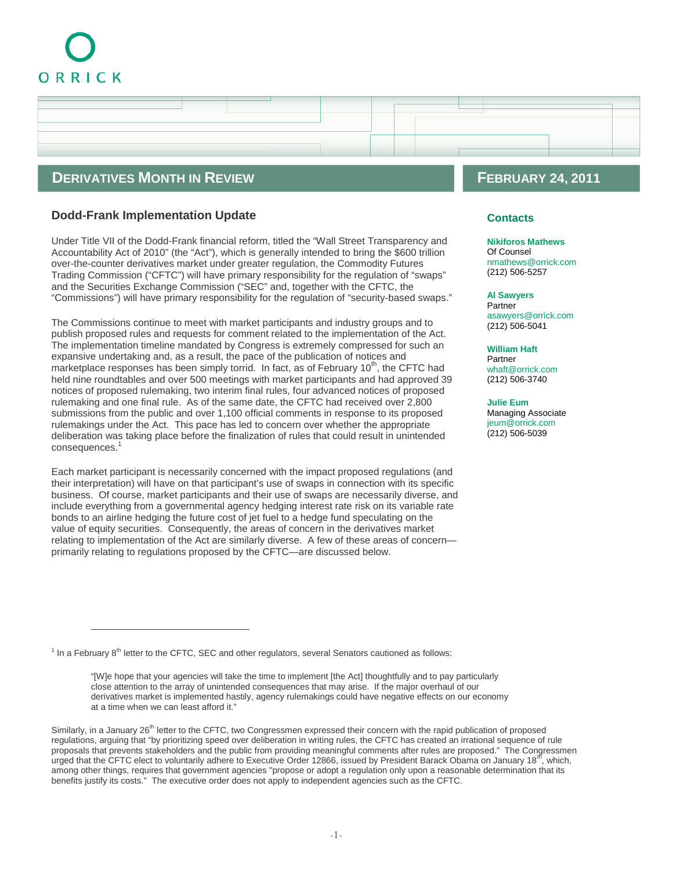# ORRICK

# **DERIVATIVES MONTH IN REVIEW FEBRUARY 24, 2011**

## **Dodd-Frank Implementation Update**

Under Title VII of the Dodd-Frank financial reform, titled the "Wall Street Transparency and Accountability Act of 2010" (the "Act"), which is generally intended to bring the \$600 trillion over-the-counter derivatives market under greater regulation, the Commodity Futures Trading Commission ("CFTC") will have primary responsibility for the regulation of "swaps" and the Securities Exchange Commission ("SEC" and, together with the CFTC, the "Commissions") will have primary responsibility for the regulation of "security-based swaps."

The Commissions continue to meet with market participants and industry groups and to publish proposed rules and requests for comment related to the implementation of the Act. The implementation timeline mandated by Congress is extremely compressed for such an expansive undertaking and, as a result, the pace of the publication of notices and marketplace responses has been simply torrid. In fact, as of February  $10<sup>th</sup>$ , the CFTC had held nine roundtables and over 500 meetings with market participants and had approved 39 notices of proposed rulemaking, two interim final rules, four advanced notices of proposed rulemaking and one final rule. As of the same date, the CFTC had received over 2,800 submissions from the public and over 1,100 official comments in response to its proposed rulemakings under the Act. This pace has led to concern over whether the appropriate deliberation was taking place before the finalization of rules that could result in unintended consequences.

Each market participant is necessarily concerned with the impact proposed regulations (and their interpretation) will have on that participant's use of swaps in connection with its specific business. Of course, market participants and their use of swaps are necessarily diverse, and include everything from a governmental agency hedging interest rate risk on its variable rate bonds to an airline hedging the future cost of jet fuel to a hedge fund speculating on the value of equity securities. Consequently, the areas of concern in the derivatives market relating to implementation of the Act are similarly diverse. A few of these areas of concern primarily relating to regulations proposed by the CFTC—are discussed below.

### **Contacts**

#### **[Nikiforos Mathews](http://www.orrick.com/lawyers/Bio.asp?ID=198041)**

Of Counsel nmathews@orrick.com [\(212\) 506-5257](mailto:nmathews@orrick.com)

#### **[Al Sawyers](http://www.orrick.com/lawyers/Bio.asp?ID=19783)**

Partner asawyers@orrick.com [\(212\) 506-5041](mailto:asawyers@orrick.com)

**[William Haft](http://www.orrick.com/lawyers/Bio.asp?ID=132453)** Partner whaft@orrick.com [\(212\) 506-3740](mailto:whaft@orrick.com)

**[Julie Eum](http://www.orrick.com/lawyers/Bio.asp?ID=188294)** Managing Associate jeum@orrick.com [\(212\) 506-5039](mailto:jeum@orrick.com)

<span id="page-0-0"></span><sup>&</sup>lt;sup>1</sup> In a February 8<sup>th</sup> letter to the CFTC, SEC and other regulators, several Senators cautioned as follows:

<sup>&</sup>quot;[W]e hope that your agencies will take the time to implement [the Act] thoughtfully and to pay particularly close attention to the array of unintended consequences that may arise. If the major overhaul of our derivatives market is implemented hastily, agency rulemakings could have negative effects on our economy at a time when we can least afford it."

Similarly, in a January 26<sup>th</sup> letter to the CFTC, two Congressmen expressed their concern with the rapid publication of proposed regulations, arguing that "by prioritizing speed over deliberation in writing rules, the CFTC has created an irrational sequence of rule proposals that prevents stakeholders and the public from providing meaningful comments after rules are proposed." The Congressmen urged that the CFTC elect to voluntarily adhere to Executive Order 12866, issued by President Barack Obama on January 18<sup>th</sup>, which, among other things, requires that government agencies "propose or adopt a regulation only upon a reasonable determination that its benefits justify its costs." The executive order does not apply to independent agencies such as the CFTC.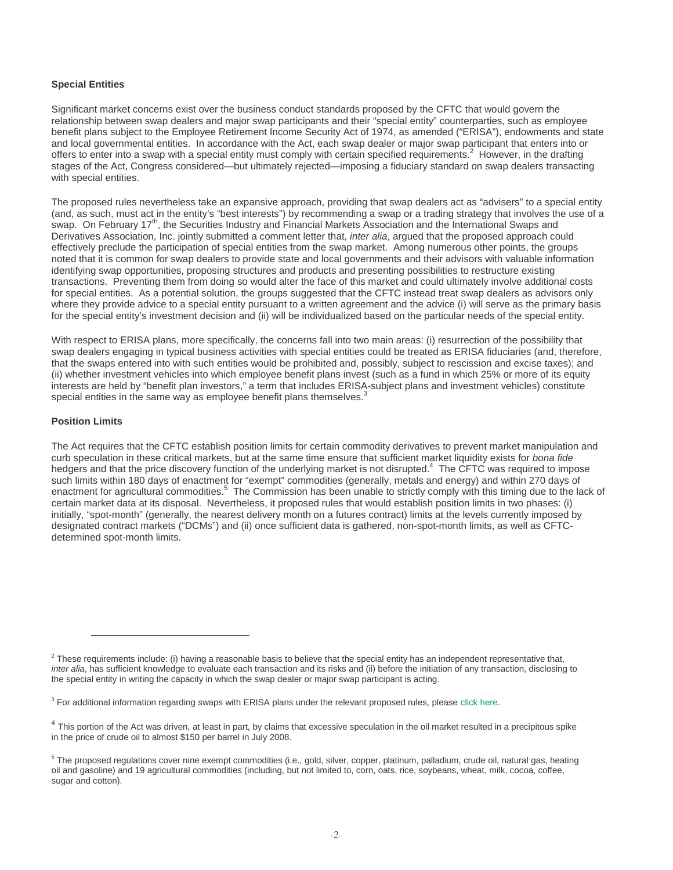#### **Special Entities**

Significant market concerns exist over the business conduct standards proposed by the CFTC that would govern the relationship between swap dealers and major swap participants and their "special entity" counterparties, such as employee benefit plans subject to the Employee Retirement Income Security Act of 1974, as amended ("ERISA"), endowments and state and local governmental entities. In accordance with the Act, each swap dealer or major swap participant that enters into or offers to enter into a swap with a special entity must comply with certain specified requirements.<sup>[2](#page-1-0)</sup> However, in the drafting stages of the Act, Congress considered—but ultimately rejected—imposing a fiduciary standard on swap dealers transacting with special entities.

The proposed rules nevertheless take an expansive approach, providing that swap dealers act as "advisers" to a special entity (and, as such, must act in the entity's "best interests") by recommending a swap or a trading strategy that involves the use of a swap. On February 17<sup>th</sup>, the Securities Industry and Financial Markets Association and the International Swaps and Derivatives Association, Inc. jointly submitted a comment letter that, *inter alia*, argued that the proposed approach could effectively preclude the participation of special entities from the swap market. Among numerous other points, the groups noted that it is common for swap dealers to provide state and local governments and their advisors with valuable information identifying swap opportunities, proposing structures and products and presenting possibilities to restructure existing transactions. Preventing them from doing so would alter the face of this market and could ultimately involve additional costs for special entities. As a potential solution, the groups suggested that the CFTC instead treat swap dealers as advisors only where they provide advice to a special entity pursuant to a written agreement and the advice (i) will serve as the primary basis for the special entity's investment decision and (ii) will be individualized based on the particular needs of the special entity.

With respect to ERISA plans, more specifically, the concerns fall into two main areas: (i) resurrection of the possibility that swap dealers engaging in typical business activities with special entities could be treated as ERISA fiduciaries (and, therefore, that the swaps entered into with such entities would be prohibited and, possibly, subject to rescission and excise taxes); and (ii) whether investment vehicles into which employee benefit plans invest (such as a fund in which 25% or more of its equity interests are held by "benefit plan investors," a term that includes ERISA-subject plans and investment vehicles) constitute special entities in the same way as employee benefit plans themselves. $\dot{3}$  $\dot{3}$  $\dot{3}$ 

#### **Position Limits**

The Act requires that the CFTC establish position limits for certain commodity derivatives to prevent market manipulation and curb speculation in these critical markets, but at the same time ensure that sufficient market liquidity exists for *bona fide* hedgers and that the price discovery function of the underlying market is not disrupted.<sup>[4](#page-1-2)</sup> The CFTC was required to impose such limits within 180 days of enactment for "exempt" commodities (generally, metals and energy) and within 270 days of enactment for agricultural commodities.<sup>[5](#page-1-3)</sup> The Commission has been unable to strictly comply with this timing due to the lack of certain market data at its disposal. Nevertheless, it proposed rules that would establish position limits in two phases: (i) initially, "spot-month" (generally, the nearest delivery month on a futures contract) limits at the levels currently imposed by designated contract markets ("DCMs") and (ii) once sufficient data is gathered, non-spot-month limits, as well as CFTCdetermined spot-month limits.

<span id="page-1-0"></span> $^2$  These requirements include: (i) having a reasonable basis to believe that the special entity has an independent representative that, *inter alia*, has sufficient knowledge to evaluate each transaction and its risks and (ii) before the initiation of any transaction, disclosing to the special entity in writing the capacity in which the swap dealer or major swap participant is acting.

<span id="page-1-1"></span><sup>&</sup>lt;sup>3</sup> For additional information regarding swaps with ERISA plans under the relevant proposed rules, please [click here](http://www.orrick.com/publications/item.asp?action=article&articleID=3272).

<span id="page-1-2"></span><sup>&</sup>lt;sup>4</sup> This portion of the Act was driven, at least in part, by claims that excessive speculation in the oil market resulted in a precipitous spike in the price of crude oil to almost \$150 per barrel in July 2008.

<span id="page-1-3"></span><sup>&</sup>lt;sup>5</sup> The proposed regulations cover nine exempt commodities (i.e., gold, silver, copper, platinum, palladium, crude oil, natural gas, heating oil and gasoline) and 19 agricultural commodities (including, but not limited to, corn, oats, rice, soybeans, wheat, milk, cocoa, coffee, sugar and cotton).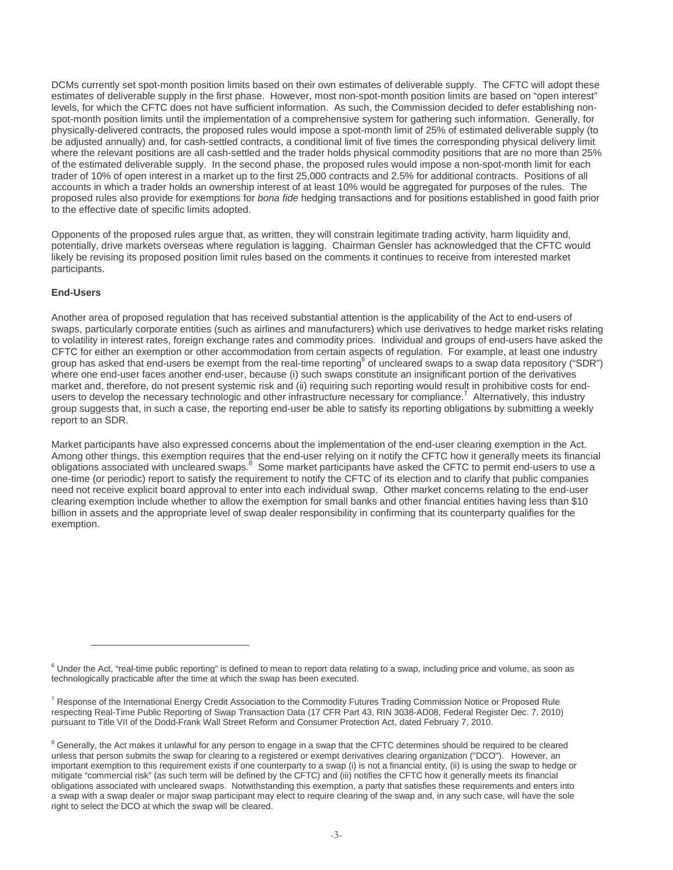DCMs currently set spot-month position limits based on their own estimates of deliverable supply. The CFTC will adopt these estimates of deliverable supply in the first phase. However, most non-spot-month position limits are based on "open interest" levels, for which the CFTC does not have sufficient information. As such, the Commission decided to defer establishing nonspot-month position limits until the implementation of a comprehensive system for gathering such information. Generally, for physically-delivered contracts, the proposed rules would impose a spot-month limit of 25% of estimated deliverable supply (to be adjusted annually) and, for cash-settled contracts, a conditional limit of five times the corresponding physical delivery limit where the relevant positions are all cash-settled and the trader holds physical commodity positions that are no more than 25% of the estimated deliverable supply. In the second phase, the proposed rules would impose a non-spot-month limit for each trader of 10% of open interest in a market up to the first 25,000 contracts and 2.5% for additional contracts. Positions of all accounts in which a trader holds an ownership interest of at least 10% would be aggregated for purposes of the rules. The proposed rules also provide for exemptions for *bona fide* hedging transactions and for positions established in good faith prior to the effective date of specific limits adopted.

Opponents of the proposed rules argue that, as written, they will constrain legitimate trading activity, harm liquidity and, potentially, drive markets overseas where regulation is lagging. Chairman Gensler has acknowledged that the CFTC would likely be revising its proposed position limit rules based on the comments it continues to receive from interested market participants.

#### **End-Users**

Another area of proposed regulation that has received substantial attention is the applicability of the Act to end-users of swaps, particularly corporate entities (such as airlines and manufacturers) which use derivatives to hedge market risks relating to volatility in interest rates, foreign exchange rates and commodity prices. Individual and groups of end-users have asked the CFTC for either an exemption or other accommodation from certain aspects of regulation. For example, at least one industry group has asked that end-users be exempt from the real-time reporting<sup>[6](#page-2-0)</sup> of uncleared swaps to a swap data repository ("SDR") where one end-user faces another end-user, because (i) such swaps constitute an insignificant portion of the derivatives market and, therefore, do not present systemic risk and (ii) requiring such reporting would result in prohibitive costs for end-users to develop the necessary technologic and other infrastructure necessary for compliance.<sup>[7](#page-2-1)</sup> Alternatively, this industry group suggests that, in such a case, the reporting end-user be able to satisfy its reporting obligations by submitting a weekly report to an SDR.

Market participants have also expressed concerns about the implementation of the end-user clearing exemption in the Act. Among other things, this exemption requires that the end-user relying on it notify the CFTC how it generally meets its financial obligations associated with uncleared swaps.<sup>[8](#page-2-2)</sup> Some market participants have asked the CFTC to permit end-users to use a one-time (or periodic) report to satisfy the requirement to notify the CFTC of its election and to clarify that public companies need not receive explicit board approval to enter into each individual swap. Other market concerns relating to the end-user clearing exemption include whether to allow the exemption for small banks and other financial entities having less than \$10 billion in assets and the appropriate level of swap dealer responsibility in confirming that its counterparty qualifies for the exemption.

<span id="page-2-0"></span> $6$  Under the Act, "real-time public reporting" is defined to mean to report data relating to a swap, including price and volume, as soon as technologically practicable after the time at which the swap has been executed.

<span id="page-2-1"></span><sup>&</sup>lt;sup>7</sup> Response of the International Energy Credit Association to the Commodity Futures Trading Commission Notice or Proposed Rule respecting Real-Time Public Reporting of Swap Transaction Data (17 CFR Part 43, RIN 3038-AD08, Federal Register Dec. 7, 2010) pursuant to Title VII of the Dodd-Frank Wall Street Reform and Consumer Protection Act, dated February 7, 2010.

<span id="page-2-2"></span><sup>&</sup>lt;sup>8</sup> Generally, the Act makes it unlawful for any person to engage in a swap that the CFTC determines should be required to be cleared unless that person submits the swap for clearing to a registered or exempt derivatives clearing organization ("DCO"). However, an important exemption to this requirement exists if one counterparty to a swap (i) is not a financial entity, (ii) is using the swap to hedge or mitigate "commercial risk" (as such term will be defined by the CFTC) and (iii) notifies the CFTC how it generally meets its financial obligations associated with uncleared swaps. Notwithstanding this exemption, a party that satisfies these requirements and enters into a swap with a swap dealer or major swap participant may elect to require clearing of the swap and, in any such case, will have the sole right to select the DCO at which the swap will be cleared.